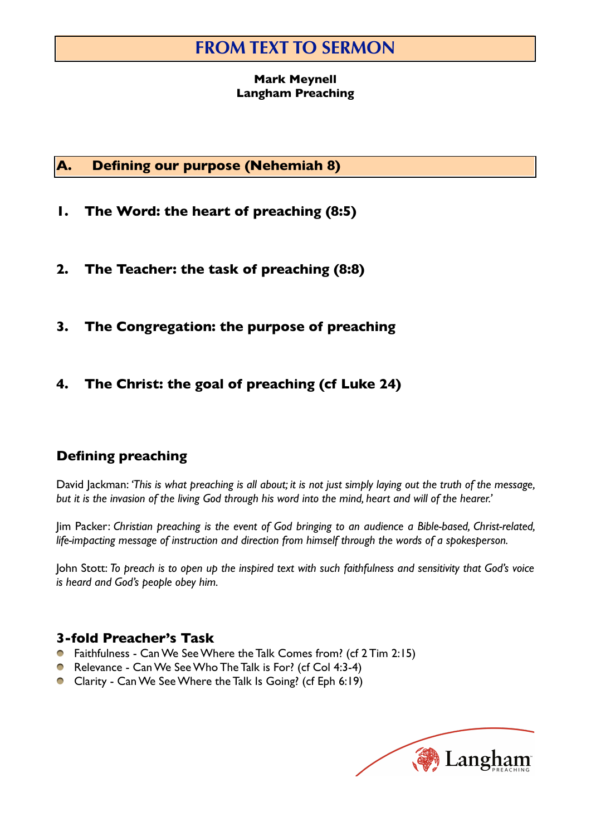# **FROM TEXT TO SERMON**

### **Mark Meynell Langham Preaching**

### **A. Defining our purpose (Nehemiah 8)**

- **1. The Word: the heart of preaching (8:5)**
- **2. The Teacher: the task of preaching (8:8)**
- **3. The Congregation: the purpose of preaching**
- **4. The Christ: the goal of preaching (cf Luke 24)**

# **Defining preaching**

David Jackman: *'This is what preaching is all about; it is not just simply laying out the truth of the message, but it is the invasion of the living God through his word into the mind, heart and will of the hearer.'*

Jim Packer: *Christian preaching is the event of God bringing to an audience a Bible-based, Christ-related, life-impacting message of instruction and direction from himself through the words of a spokesperson.*

John Stott: *To preach is to open up the inspired text with such faithfulness and sensitivity that God's voice is heard and God's people obey him.*

### **3-fold Preacher's Task**

- Faithfulness Can We See Where the Talk Comes from? (cf 2 Tim 2:15)
- Relevance Can We See Who The Talk is For? (cf Col 4:3-4)
- Clarity Can We See Where the Talk Is Going? (cf Eph 6:19)

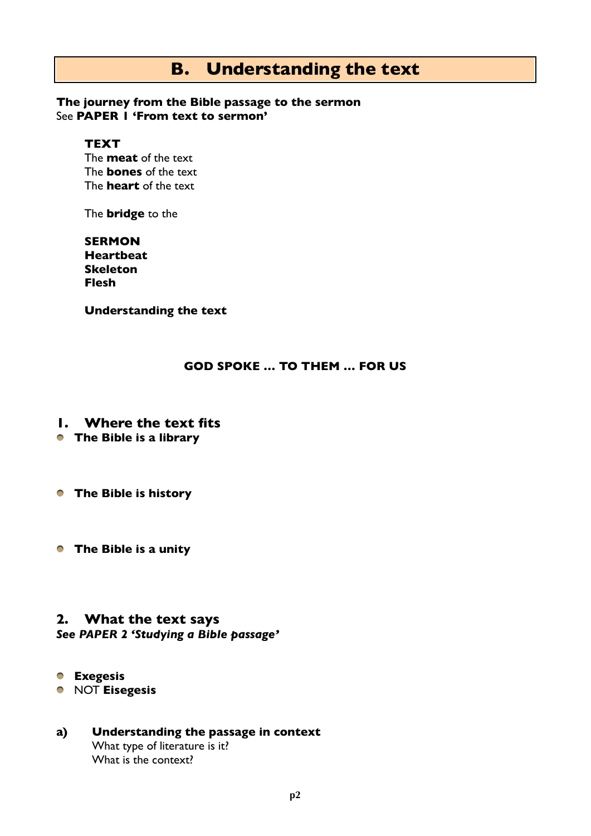# **B. Understanding the text**

### **The journey from the Bible passage to the sermon** See **PAPER 1 'From text to sermon'**

### **TEXT**

The **meat** of the text The **bones** of the text The **heart** of the text

The **bridge** to the

**SERMON Heartbeat Skeleton Flesh**

**Understanding the text**

### **GOD SPOKE … TO THEM … FOR US**

- **1. Where the text fits**
- **The Bible is a library**
- **The Bible is history**
- **The Bible is a unity**

# **2. What the text says**

### *See PAPER 2 'Studying a Bible passage'*

- **Exegesis**
- NOT **Eisegesis**

### **a) Understanding the passage in context** What type of literature is it? What is the context?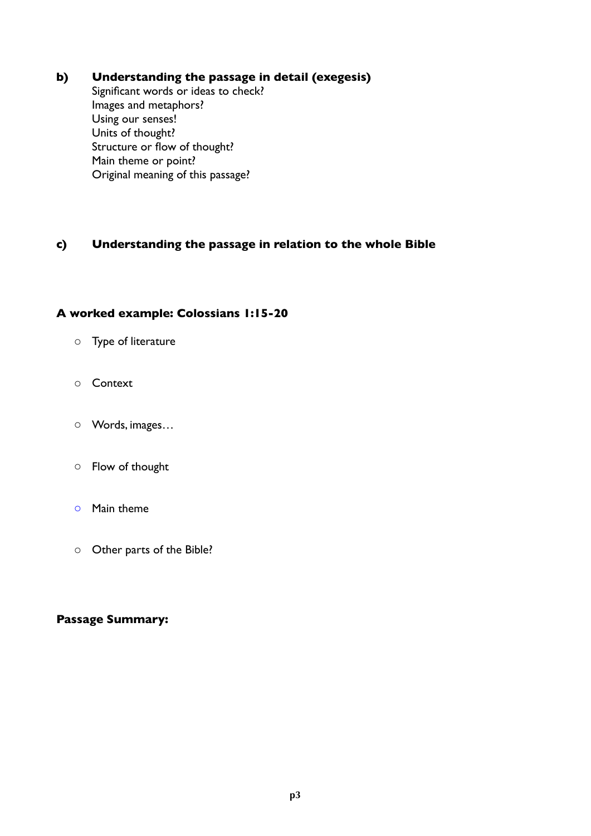### **b) Understanding the passage in detail (exegesis)**

Significant words or ideas to check? Images and metaphors? Using our senses! Units of thought? Structure or flow of thought? Main theme or point? Original meaning of this passage?

### **c) Understanding the passage in relation to the whole Bible**

### **A worked example: Colossians 1:15-20**

- o Type of literature
- o Context
- o Words, images…
- o Flow of thought
- o Main theme
- o Other parts of the Bible?

#### **Passage Summary:**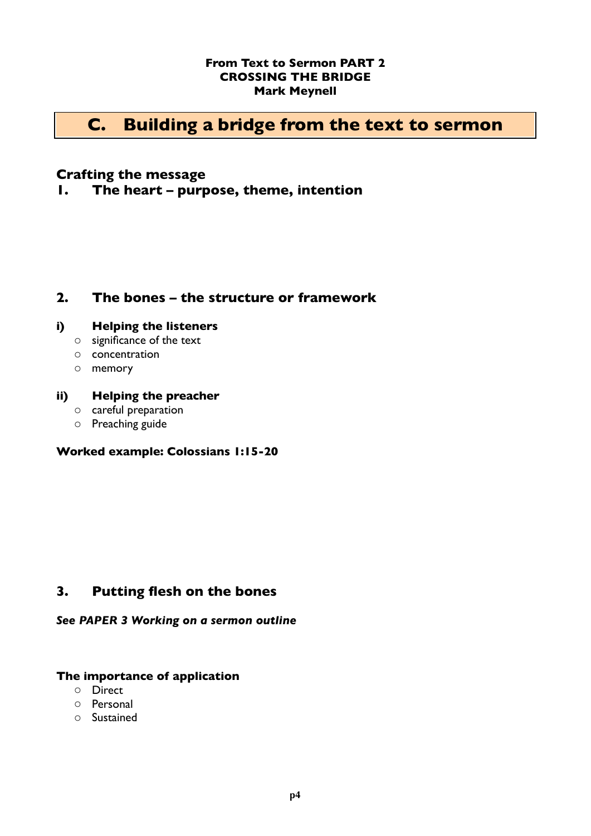### **From Text to Sermon PART 2 CROSSING THE BRIDGE Mark Meynell**

# **C. Building a bridge from the text to sermon**

### **Crafting the message**

**1. The heart – purpose, theme, intention**

### **2. The bones – the structure or framework**

### **i) Helping the listeners**

- o significance of the text
- o concentration
- o memory

### **ii) Helping the preacher**

- o careful preparation
- o Preaching guide

### **Worked example: Colossians 1:15-20**

### **3. Putting flesh on the bones**

#### *See PAPER 3 Working on a sermon outline*

#### **The importance of application**

- o Direct
- o Personal
- o Sustained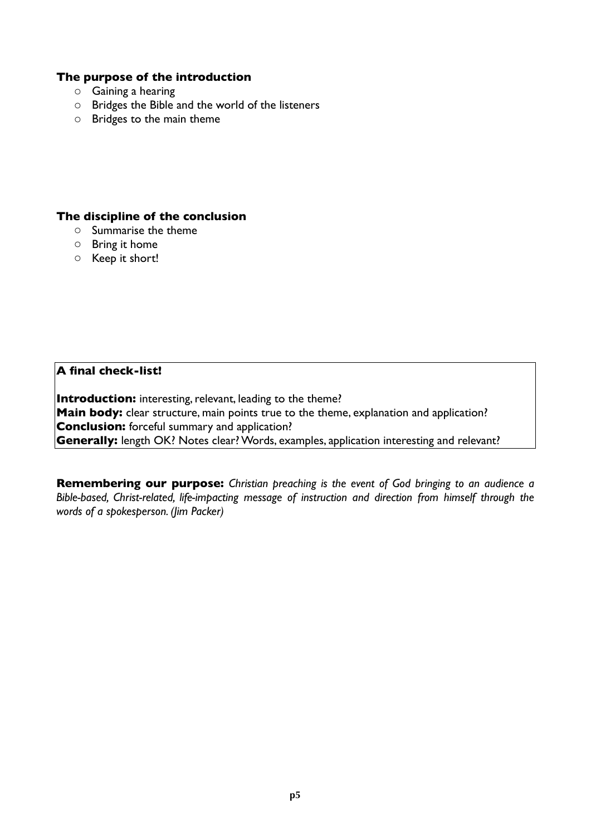### **The purpose of the introduction**

- o Gaining a hearing
- o Bridges the Bible and the world of the listeners
- o Bridges to the main theme

#### **The discipline of the conclusion**

- o Summarise the theme
- o Bring it home
- o Keep it short!

**A final check-list!**

**Introduction:** interesting, relevant, leading to the theme? **Main body:** clear structure, main points true to the theme, explanation and application? **Conclusion:** forceful summary and application? **Generally:** length OK? Notes clear? Words, examples, application interesting and relevant?

**Remembering our purpose:** *Christian preaching is the event of God bringing to an audience a Bible-based, Christ-related, life-impacting message of instruction and direction from himself through the words of a spokesperson. (Jim Packer)*